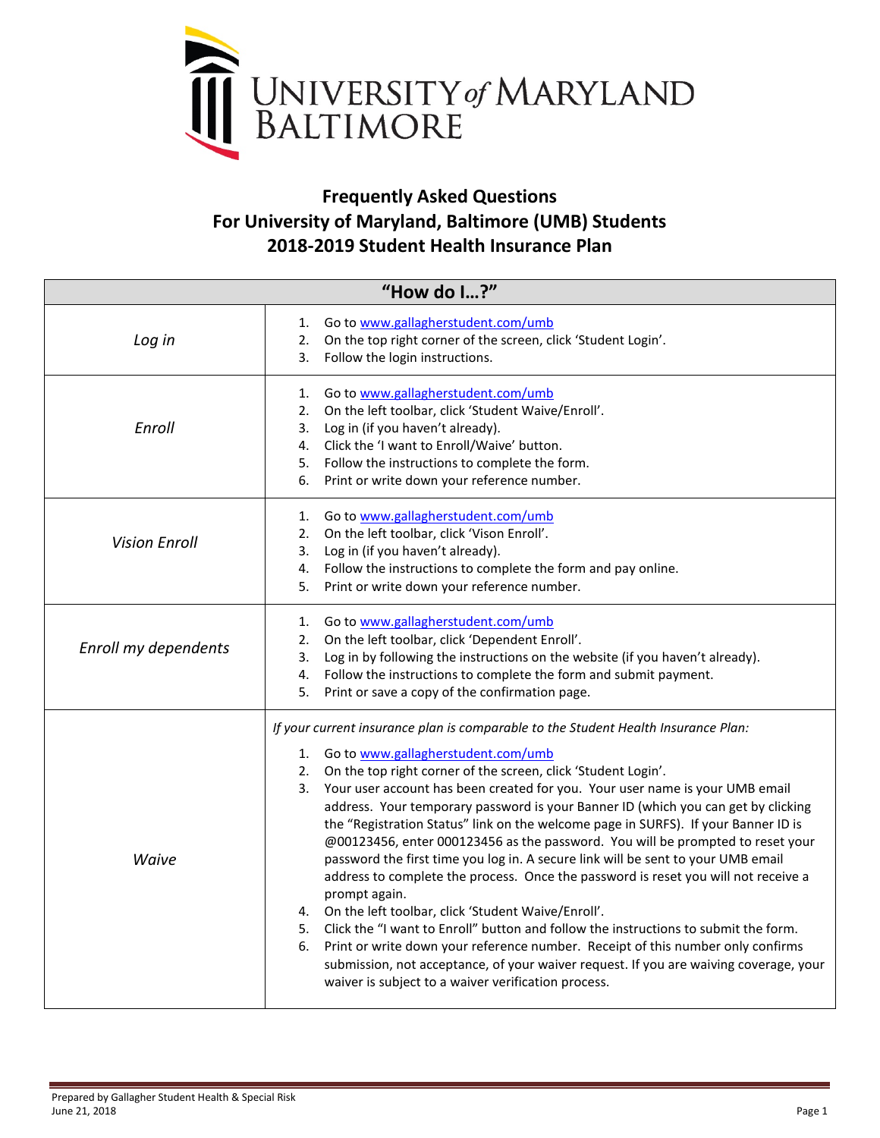

## **Frequently Asked Questions For University of Maryland, Baltimore (UMB) Students 2018-2019 Student Health Insurance Plan**

<span id="page-0-0"></span>

| "How do I?"          |                                                                                                                                                                                                                                                                                                                                                                                                                                                                                                                                                                                                                                                                                                                                                                                                                                                                                                                                                                                                                                                                                                                                        |  |  |
|----------------------|----------------------------------------------------------------------------------------------------------------------------------------------------------------------------------------------------------------------------------------------------------------------------------------------------------------------------------------------------------------------------------------------------------------------------------------------------------------------------------------------------------------------------------------------------------------------------------------------------------------------------------------------------------------------------------------------------------------------------------------------------------------------------------------------------------------------------------------------------------------------------------------------------------------------------------------------------------------------------------------------------------------------------------------------------------------------------------------------------------------------------------------|--|--|
| Log in               | Go to www.gallagherstudent.com/umb<br>1.<br>On the top right corner of the screen, click 'Student Login'.<br>2.<br>3.<br>Follow the login instructions.                                                                                                                                                                                                                                                                                                                                                                                                                                                                                                                                                                                                                                                                                                                                                                                                                                                                                                                                                                                |  |  |
| Enroll               | Go to www.gallagherstudent.com/umb<br>1.<br>On the left toolbar, click 'Student Waive/Enroll'.<br>2.<br>Log in (if you haven't already).<br>3.<br>4. Click the 'I want to Enroll/Waive' button.<br>5. Follow the instructions to complete the form.<br>Print or write down your reference number.<br>6.                                                                                                                                                                                                                                                                                                                                                                                                                                                                                                                                                                                                                                                                                                                                                                                                                                |  |  |
| <b>Vision Enroll</b> | 1. Go to www.gallagherstudent.com/umb<br>2. On the left toolbar, click 'Vison Enroll'.<br>Log in (if you haven't already).<br>3.<br>Follow the instructions to complete the form and pay online.<br>4.<br>Print or write down your reference number.<br>5.                                                                                                                                                                                                                                                                                                                                                                                                                                                                                                                                                                                                                                                                                                                                                                                                                                                                             |  |  |
| Enroll my dependents | Go to www.gallagherstudent.com/umb<br>1.<br>On the left toolbar, click 'Dependent Enroll'.<br>2.<br>Log in by following the instructions on the website (if you haven't already).<br>3.<br>Follow the instructions to complete the form and submit payment.<br>4.<br>Print or save a copy of the confirmation page.<br>5.                                                                                                                                                                                                                                                                                                                                                                                                                                                                                                                                                                                                                                                                                                                                                                                                              |  |  |
| Waive                | If your current insurance plan is comparable to the Student Health Insurance Plan:<br>1. Go to www.gallagherstudent.com/umb<br>2. On the top right corner of the screen, click 'Student Login'.<br>3. Your user account has been created for you. Your user name is your UMB email<br>address. Your temporary password is your Banner ID (which you can get by clicking<br>the "Registration Status" link on the welcome page in SURFS). If your Banner ID is<br>@00123456, enter 000123456 as the password. You will be prompted to reset your<br>password the first time you log in. A secure link will be sent to your UMB email<br>address to complete the process. Once the password is reset you will not receive a<br>prompt again.<br>4. On the left toolbar, click 'Student Waive/Enroll'.<br>5. Click the "I want to Enroll" button and follow the instructions to submit the form.<br>Print or write down your reference number. Receipt of this number only confirms<br>6.<br>submission, not acceptance, of your waiver request. If you are waiving coverage, your<br>waiver is subject to a waiver verification process. |  |  |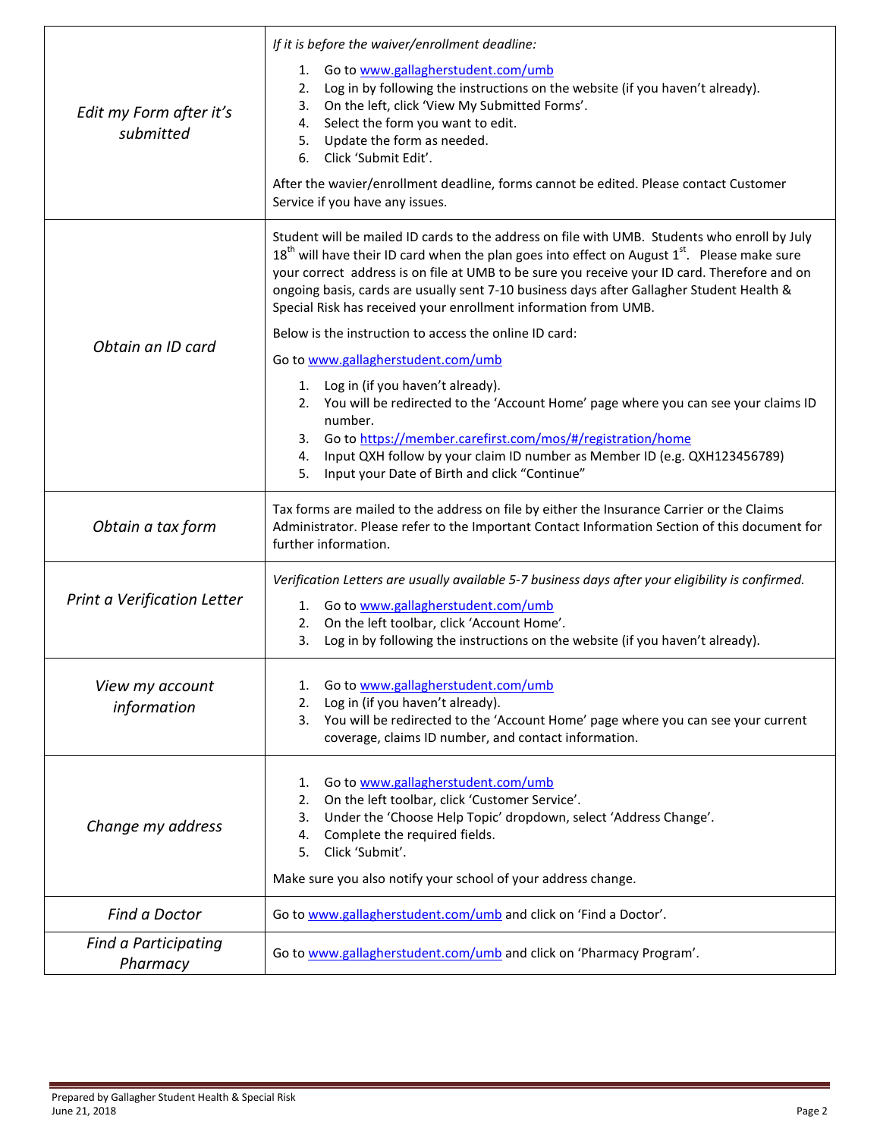| Edit my Form after it's<br>submitted | If it is before the waiver/enrollment deadline:<br>Go to www.gallagherstudent.com/umb<br>1.<br>Log in by following the instructions on the website (if you haven't already).<br>2.<br>On the left, click 'View My Submitted Forms'.<br>3.<br>Select the form you want to edit.<br>4.<br>5. Update the form as needed.<br>Click 'Submit Edit'.<br>6.<br>After the wavier/enrollment deadline, forms cannot be edited. Please contact Customer<br>Service if you have any issues.                                                                                                                                                                                                                                                                                                                                                                                                                                        |  |
|--------------------------------------|------------------------------------------------------------------------------------------------------------------------------------------------------------------------------------------------------------------------------------------------------------------------------------------------------------------------------------------------------------------------------------------------------------------------------------------------------------------------------------------------------------------------------------------------------------------------------------------------------------------------------------------------------------------------------------------------------------------------------------------------------------------------------------------------------------------------------------------------------------------------------------------------------------------------|--|
| Obtain an ID card                    | Student will be mailed ID cards to the address on file with UMB. Students who enroll by July<br>$18th$ will have their ID card when the plan goes into effect on August $1st$ . Please make sure<br>your correct address is on file at UMB to be sure you receive your ID card. Therefore and on<br>ongoing basis, cards are usually sent 7-10 business days after Gallagher Student Health &<br>Special Risk has received your enrollment information from UMB.<br>Below is the instruction to access the online ID card:<br>Go to www.gallagherstudent.com/umb<br>1. Log in (if you haven't already).<br>2. You will be redirected to the 'Account Home' page where you can see your claims ID<br>number.<br>3. Go to https://member.carefirst.com/mos/#/registration/home<br>Input QXH follow by your claim ID number as Member ID (e.g. QXH123456789)<br>4.<br>Input your Date of Birth and click "Continue"<br>5. |  |
| Obtain a tax form                    | Tax forms are mailed to the address on file by either the Insurance Carrier or the Claims<br>Administrator. Please refer to the Important Contact Information Section of this document for<br>further information.                                                                                                                                                                                                                                                                                                                                                                                                                                                                                                                                                                                                                                                                                                     |  |
| Print a Verification Letter          | Verification Letters are usually available 5-7 business days after your eligibility is confirmed.<br>1. Go to www.gallagherstudent.com/umb<br>2. On the left toolbar, click 'Account Home'.<br>3.<br>Log in by following the instructions on the website (if you haven't already).                                                                                                                                                                                                                                                                                                                                                                                                                                                                                                                                                                                                                                     |  |
| View my account<br>information       | Go to www.gallagherstudent.com/umb<br>1.<br>Log in (if you haven't already).<br>2.<br>3. You will be redirected to the 'Account Home' page where you can see your current<br>coverage, claims ID number, and contact information.                                                                                                                                                                                                                                                                                                                                                                                                                                                                                                                                                                                                                                                                                      |  |
| Change my address                    | Go to www.gallagherstudent.com/umb<br>1.<br>On the left toolbar, click 'Customer Service'.<br>2.<br>Under the 'Choose Help Topic' dropdown, select 'Address Change'.<br>3.<br>Complete the required fields.<br>4.<br>Click 'Submit'.<br>5.<br>Make sure you also notify your school of your address change.                                                                                                                                                                                                                                                                                                                                                                                                                                                                                                                                                                                                            |  |
| Find a Doctor                        | Go to www.gallagherstudent.com/umb and click on 'Find a Doctor'.                                                                                                                                                                                                                                                                                                                                                                                                                                                                                                                                                                                                                                                                                                                                                                                                                                                       |  |
| Find a Participating<br>Pharmacy     | Go to www.gallagherstudent.com/umb and click on 'Pharmacy Program'.                                                                                                                                                                                                                                                                                                                                                                                                                                                                                                                                                                                                                                                                                                                                                                                                                                                    |  |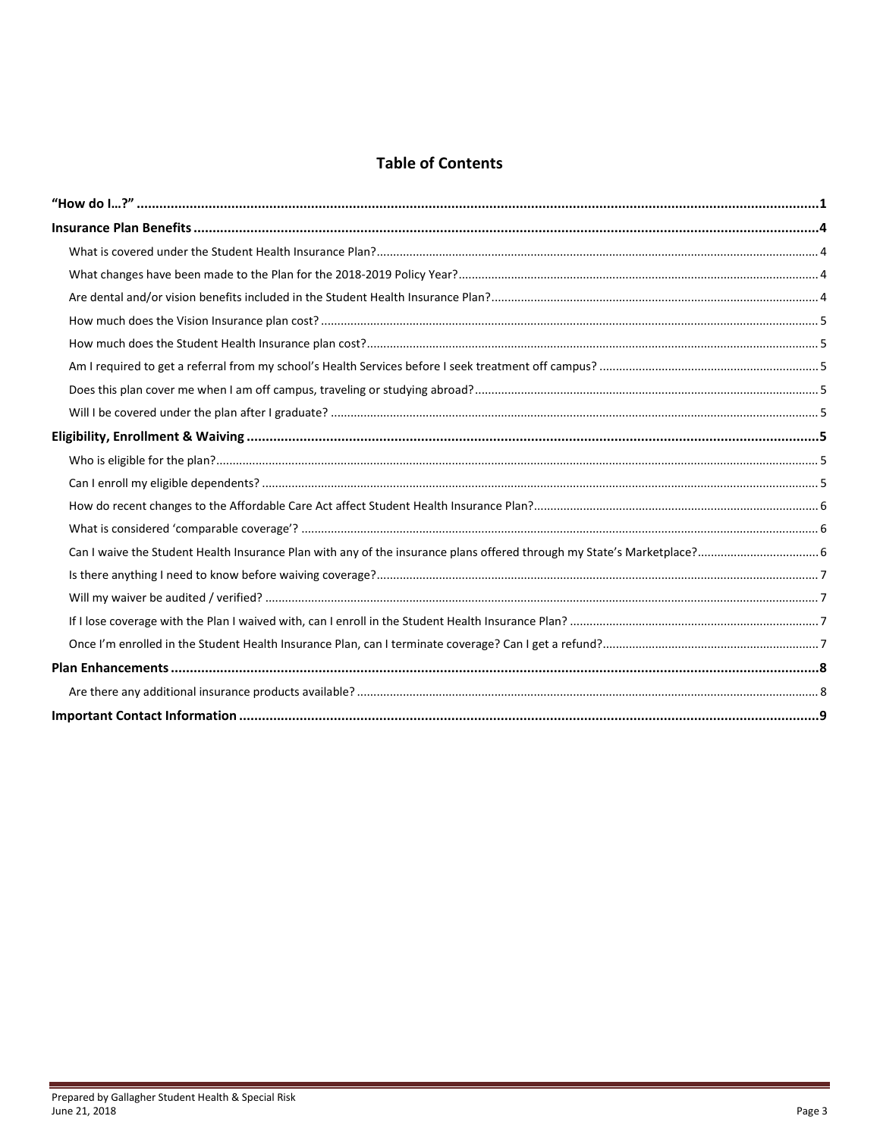### **Table of Contents**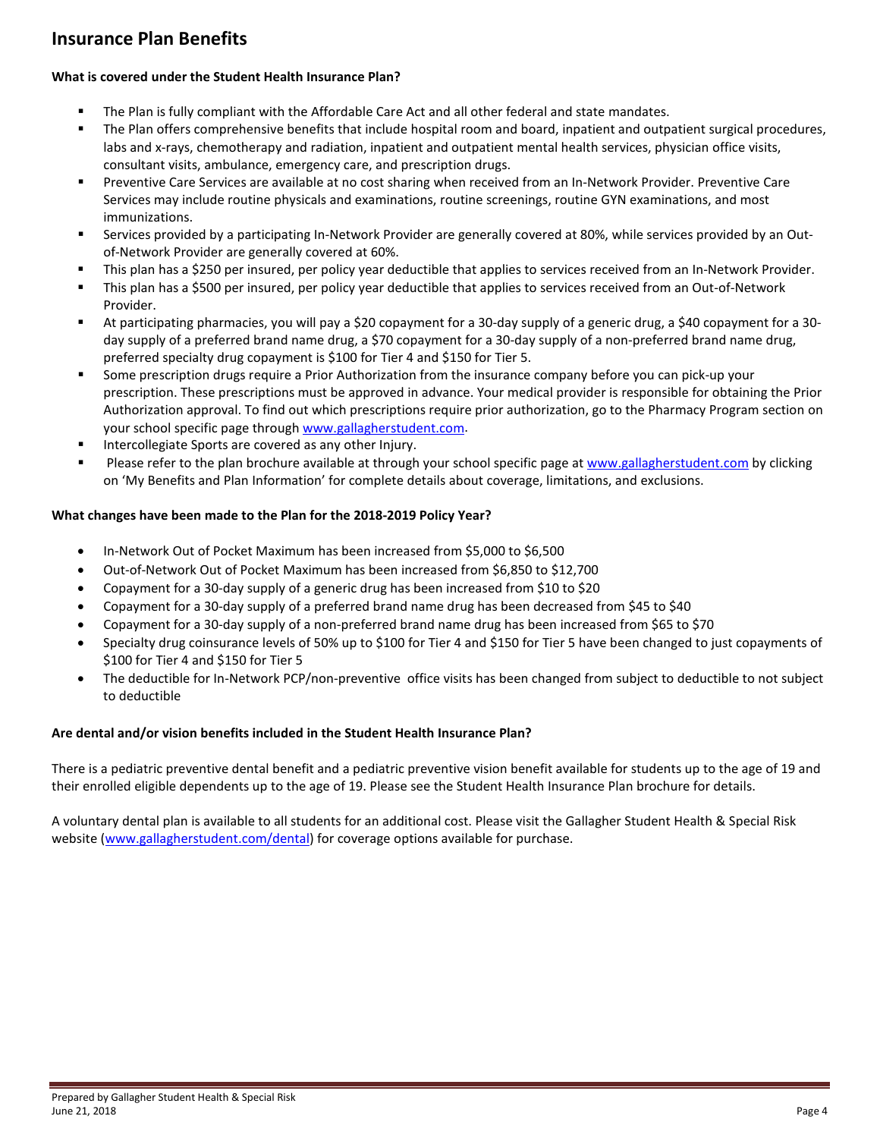### <span id="page-3-0"></span>**Insurance Plan Benefits**

#### <span id="page-3-1"></span>**What is covered under the Student Health Insurance Plan?**

- The Plan is fully compliant with the Affordable Care Act and all other federal and state mandates.
- The Plan offers comprehensive benefits that include hospital room and board, inpatient and outpatient surgical procedures, labs and x-rays, chemotherapy and radiation, inpatient and outpatient mental health services, physician office visits, consultant visits, ambulance, emergency care, and prescription drugs.
- Preventive Care Services are available at no cost sharing when received from an In-Network Provider. Preventive Care Services may include routine physicals and examinations, routine screenings, routine GYN examinations, and most immunizations.
- Services provided by a participating In-Network Provider are generally covered at 80%, while services provided by an Outof-Network Provider are generally covered at 60%.
- This plan has a \$250 per insured, per policy year deductible that applies to services received from an In-Network Provider.
- This plan has a \$500 per insured, per policy year deductible that applies to services received from an Out-of-Network Provider.
- At participating pharmacies, you will pay a \$20 copayment for a 30-day supply of a generic drug, a \$40 copayment for a 30 day supply of a preferred brand name drug, a \$70 copayment for a 30-day supply of a non-preferred brand name drug, preferred specialty drug copayment is \$100 for Tier 4 and \$150 for Tier 5.
- Some prescription drugs require a Prior Authorization from the insurance company before you can pick-up your prescription. These prescriptions must be approved in advance. Your medical provider is responsible for obtaining the Prior Authorization approval. To find out which prescriptions require prior authorization, go to the Pharmacy Program section on your school specific page throug[h www.gallagherstudent.com.](http://www.gallagherstudent.com/)
- Intercollegiate Sports are covered as any other Injury.
- Please refer to the plan brochure available at through your school specific page a[t www.gallagherstudent.com](http://www.gallagherstudent.com/) by clicking on 'My Benefits and Plan Information' for complete details about coverage, limitations, and exclusions.

#### <span id="page-3-2"></span>**What changes have been made to the Plan for the 2018-2019 Policy Year?**

- In-Network Out of Pocket Maximum has been increased from \$5,000 to \$6,500
- Out-of-Network Out of Pocket Maximum has been increased from \$6,850 to \$12,700
- Copayment for a 30-day supply of a generic drug has been increased from \$10 to \$20
- Copayment for a 30-day supply of a preferred brand name drug has been decreased from \$45 to \$40
- Copayment for a 30-day supply of a non-preferred brand name drug has been increased from \$65 to \$70
- Specialty drug coinsurance levels of 50% up to \$100 for Tier 4 and \$150 for Tier 5 have been changed to just copayments of \$100 for Tier 4 and \$150 for Tier 5
- The deductible for In-Network PCP/non-preventive office visits has been changed from subject to deductible to not subject to deductible

#### <span id="page-3-3"></span>**Are dental and/or vision benefits included in the Student Health Insurance Plan?**

There is a pediatric preventive dental benefit and a pediatric preventive vision benefit available for students up to the age of 19 and their enrolled eligible dependents up to the age of 19. Please see the Student Health Insurance Plan brochure for details.

A voluntary dental plan is available to all students for an additional cost. Please visit the Gallagher Student Health & Special Risk website [\(www.gallagherstudent.com/dental\)](http://www.gallagherstudent.com/dental) for coverage options available for purchase.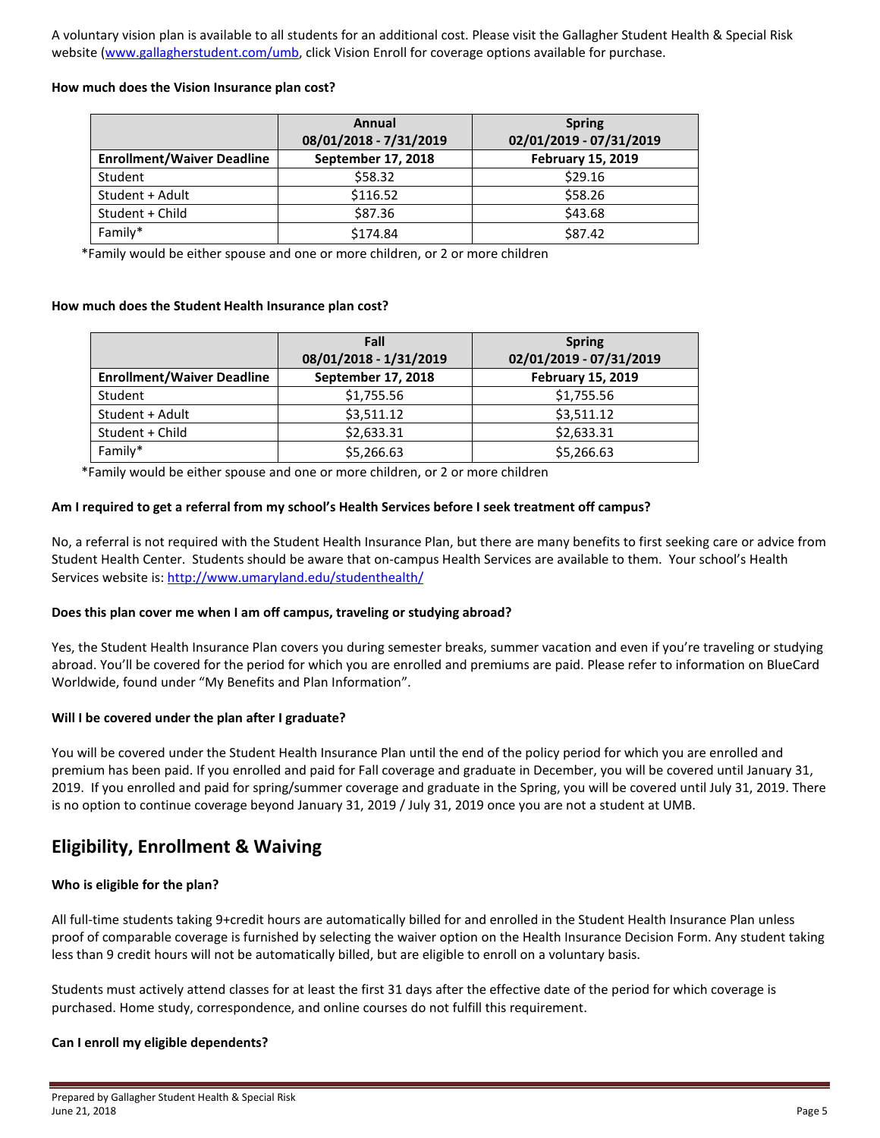A voluntary vision plan is available to all students for an additional cost. Please visit the Gallagher Student Health & Special Risk website [\(www.gallagherstudent.com/umb,](http://www.gallagherstudent.com/umb) click Vision Enroll for coverage options available for purchase.

#### <span id="page-4-0"></span>**How much does the Vision Insurance plan cost?**

|                                   | Annual<br>08/01/2018 - 7/31/2019 | <b>Spring</b><br>02/01/2019 - 07/31/2019 |
|-----------------------------------|----------------------------------|------------------------------------------|
| <b>Enrollment/Waiver Deadline</b> | September 17, 2018               | <b>February 15, 2019</b>                 |
| Student                           | \$58.32                          | \$29.16                                  |
| Student + Adult                   | \$116.52                         | \$58.26                                  |
| Student + Child                   | \$87.36                          | \$43.68                                  |
| Family*                           | \$174.84                         | \$87.42                                  |

\*Family would be either spouse and one or more children, or 2 or more children

#### <span id="page-4-1"></span>**How much does the Student Health Insurance plan cost?**

|                                   | Fall                   | <b>Spring</b>            |
|-----------------------------------|------------------------|--------------------------|
|                                   | 08/01/2018 - 1/31/2019 | 02/01/2019 - 07/31/2019  |
| <b>Enrollment/Waiver Deadline</b> | September 17, 2018     | <b>February 15, 2019</b> |
| Student                           | \$1,755.56             | \$1,755.56               |
| Student + Adult                   | \$3,511.12             | \$3,511.12               |
| Student + Child                   | \$2,633.31             | \$2,633.31               |
| Family*                           | \$5,266.63             | \$5,266.63               |

\*Family would be either spouse and one or more children, or 2 or more children

#### <span id="page-4-2"></span>**Am I required to get a referral from my school's Health Services before I seek treatment off campus?**

No, a referral is not required with the Student Health Insurance Plan, but there are many benefits to first seeking care or advice from Student Health Center. Students should be aware that on-campus Health Services are available to them. Your school's Health Services website is[: http://www.umaryland.edu/studenthealth/](http://www.umaryland.edu/studenthealth/)

#### <span id="page-4-3"></span>**Does this plan cover me when I am off campus, traveling or studying abroad?**

Yes, the Student Health Insurance Plan covers you during semester breaks, summer vacation and even if you're traveling or studying abroad. You'll be covered for the period for which you are enrolled and premiums are paid. Please refer to information on BlueCard Worldwide, found under "My Benefits and Plan Information".

#### <span id="page-4-4"></span>**Will I be covered under the plan after I graduate?**

You will be covered under the Student Health Insurance Plan until the end of the policy period for which you are enrolled and premium has been paid. If you enrolled and paid for Fall coverage and graduate in December, you will be covered until January 31, 2019. If you enrolled and paid for spring/summer coverage and graduate in the Spring, you will be covered until July 31, 2019. There is no option to continue coverage beyond January 31, 2019 / July 31, 2019 once you are not a student at UMB.

### <span id="page-4-5"></span>**Eligibility, Enrollment & Waiving**

#### <span id="page-4-6"></span>**Who is eligible for the plan?**

All full-time students taking 9+credit hours are automatically billed for and enrolled in the Student Health Insurance Plan unless proof of comparable coverage is furnished by selecting the waiver option on the Health Insurance Decision Form. Any student taking less than 9 credit hours will not be automatically billed, but are eligible to enroll on a voluntary basis.

Students must actively attend classes for at least the first 31 days after the effective date of the period for which coverage is purchased. Home study, correspondence, and online courses do not fulfill this requirement.

#### <span id="page-4-7"></span>**Can I enroll my eligible dependents?**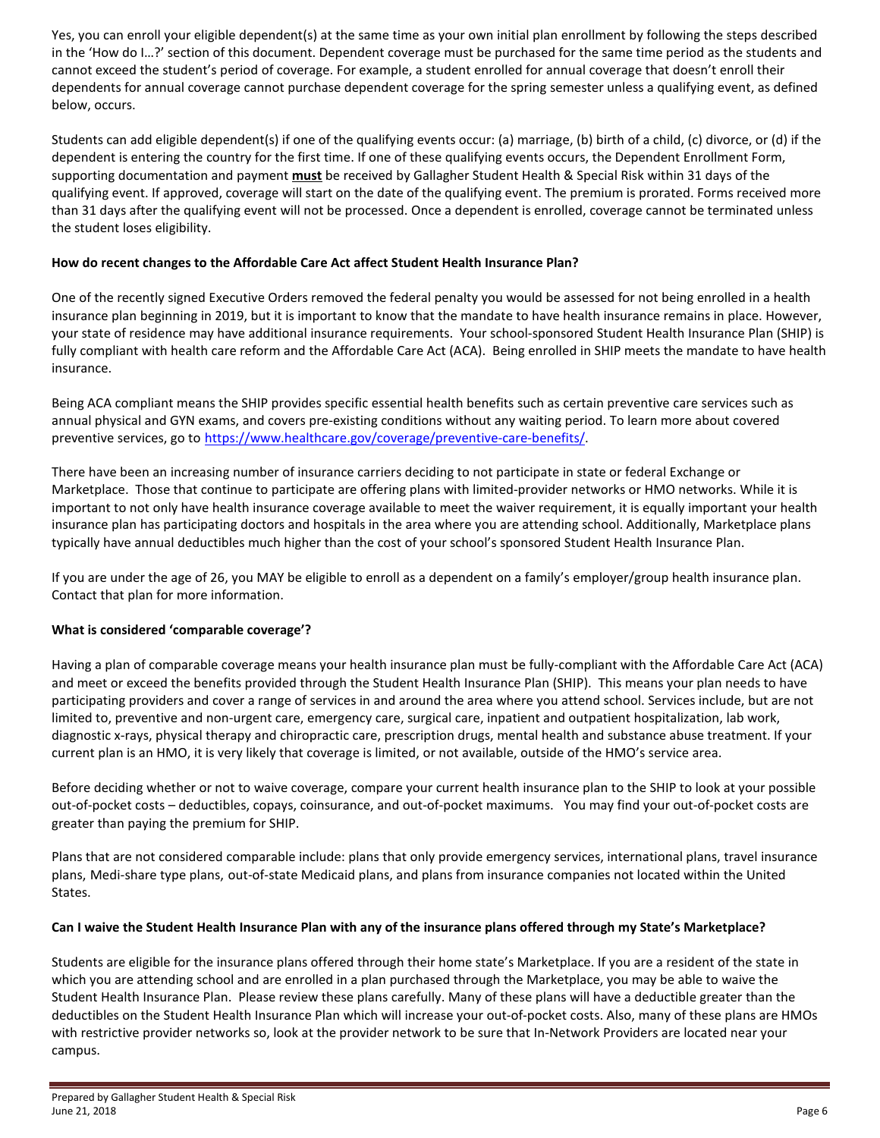Yes, you can enroll your eligible dependent(s) at the same time as your own initial plan enrollment by following the steps described in the 'How do I…?' section of this document. Dependent coverage must be purchased for the same time period as the students and cannot exceed the student's period of coverage. For example, a student enrolled for annual coverage that doesn't enroll their dependents for annual coverage cannot purchase dependent coverage for the spring semester unless a qualifying event, as defined below, occurs.

Students can add eligible dependent(s) if one of the qualifying events occur: (a) marriage, (b) birth of a child, (c) divorce, or (d) if the dependent is entering the country for the first time. If one of these qualifying events occurs, the Dependent Enrollment Form, supporting documentation and payment **must** be received by Gallagher Student Health & Special Risk within 31 days of the qualifying event. If approved, coverage will start on the date of the qualifying event. The premium is prorated. Forms received more than 31 days after the qualifying event will not be processed. Once a dependent is enrolled, coverage cannot be terminated unless the student loses eligibility.

#### <span id="page-5-0"></span>**How do recent changes to the Affordable Care Act affect Student Health Insurance Plan?**

One of the recently signed Executive Orders removed the federal penalty you would be assessed for not being enrolled in a health insurance plan beginning in 2019, but it is important to know that the mandate to have health insurance remains in place. However, your state of residence may have additional insurance requirements. Your school-sponsored Student Health Insurance Plan (SHIP) is fully compliant with health care reform and the Affordable Care Act (ACA). Being enrolled in SHIP meets the mandate to have health insurance.

Being ACA compliant means the SHIP provides specific essential health benefits such as certain preventive care services such as annual physical and GYN exams, and covers pre-existing conditions without any waiting period. To learn more about covered preventive services, go to [https://www.healthcare.gov/coverage/preventive-care-benefits/.](https://www.healthcare.gov/coverage/preventive-care-benefits/)

There have been an increasing number of insurance carriers deciding to not participate in state or federal Exchange or Marketplace. Those that continue to participate are offering plans with limited-provider networks or HMO networks. While it is important to not only have health insurance coverage available to meet the waiver requirement, it is equally important your health insurance plan has participating doctors and hospitals in the area where you are attending school. Additionally, Marketplace plans typically have annual deductibles much higher than the cost of your school's sponsored Student Health Insurance Plan.

If you are under the age of 26, you MAY be eligible to enroll as a dependent on a family's employer/group health insurance plan. Contact that plan for more information.

#### <span id="page-5-1"></span>**What is considered 'comparable coverage'?**

Having a plan of comparable coverage means your health insurance plan must be fully-compliant with the Affordable Care Act (ACA) and meet or exceed the benefits provided through the Student Health Insurance Plan (SHIP). This means your plan needs to have participating providers and cover a range of services in and around the area where you attend school. Services include, but are not limited to, preventive and non-urgent care, emergency care, surgical care, inpatient and outpatient hospitalization, lab work, diagnostic x-rays, physical therapy and chiropractic care, prescription drugs, mental health and substance abuse treatment. If your current plan is an HMO, it is very likely that coverage is limited, or not available, outside of the HMO's service area.

Before deciding whether or not to waive coverage, compare your current health insurance plan to the SHIP to look at your possible out-of-pocket costs – deductibles, copays, coinsurance, and out-of-pocket maximums. You may find your out-of-pocket costs are greater than paying the premium for SHIP.

Plans that are not considered comparable include: plans that only provide emergency services, international plans, travel insurance plans, Medi-share type plans, out-of-state Medicaid plans, and plans from insurance companies not located within the United States.

#### <span id="page-5-2"></span>**Can I waive the Student Health Insurance Plan with any of the insurance plans offered through my State's Marketplace?**

Students are eligible for the insurance plans offered through their home state's Marketplace. If you are a resident of the state in which you are attending school and are enrolled in a plan purchased through the Marketplace, you may be able to waive the Student Health Insurance Plan. Please review these plans carefully. Many of these plans will have a deductible greater than the deductibles on the Student Health Insurance Plan which will increase your out-of-pocket costs. Also, many of these plans are HMOs with restrictive provider networks so, look at the provider network to be sure that In-Network Providers are located near your campus.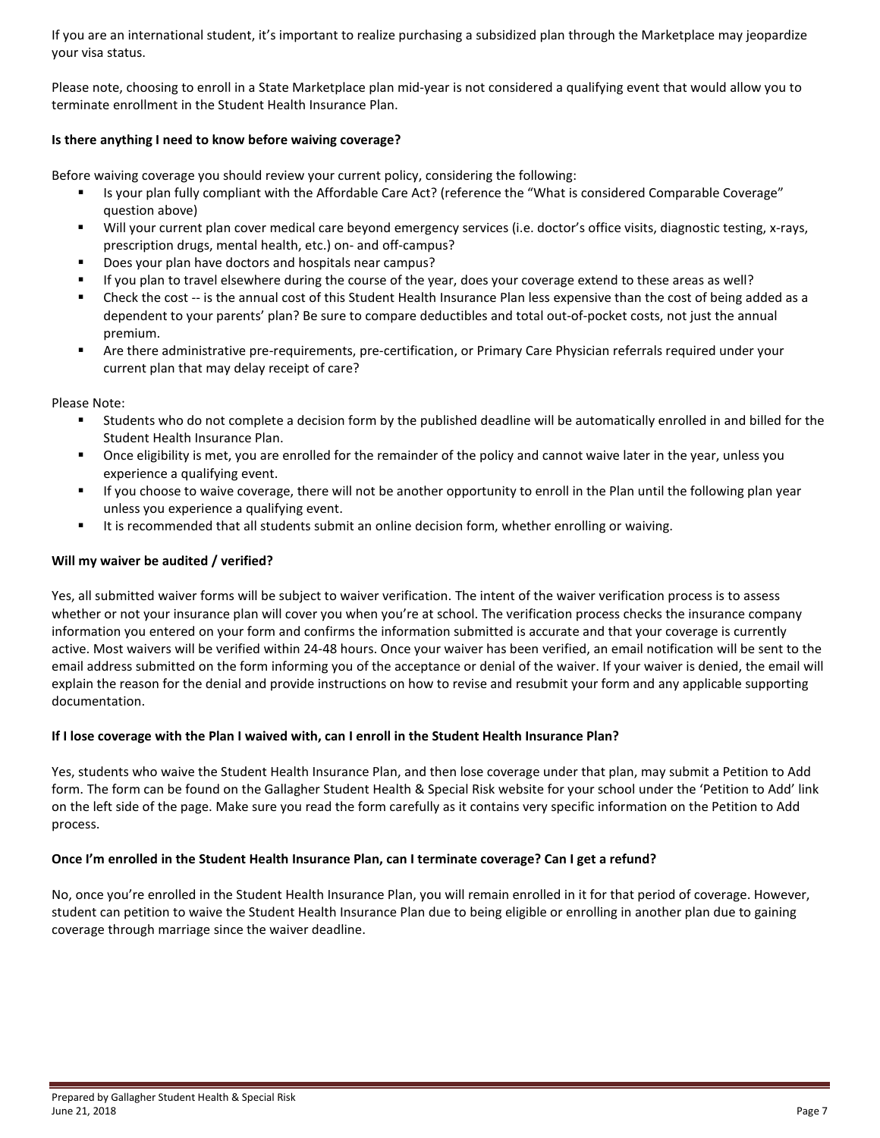If you are an international student, it's important to realize purchasing a subsidized plan through the Marketplace may jeopardize your visa status.

Please note, choosing to enroll in a State Marketplace plan mid-year is not considered a qualifying event that would allow you to terminate enrollment in the Student Health Insurance Plan.

#### <span id="page-6-0"></span>**Is there anything I need to know before waiving coverage?**

Before waiving coverage you should review your current policy, considering the following:

- Is your plan fully compliant with the Affordable Care Act? (reference the "What is considered Comparable Coverage" question above)
- Will your current plan cover medical care beyond emergency services (i.e. doctor's office visits, diagnostic testing, x-rays, prescription drugs, mental health, etc.) on- and off-campus?
- Does your plan have doctors and hospitals near campus?
- If you plan to travel elsewhere during the course of the year, does your coverage extend to these areas as well?
- Check the cost -- is the annual cost of this Student Health Insurance Plan less expensive than the cost of being added as a dependent to your parents' plan? Be sure to compare deductibles and total out-of-pocket costs, not just the annual premium.
- Are there administrative pre-requirements, pre-certification, or Primary Care Physician referrals required under your current plan that may delay receipt of care?

Please Note:

- Students who do not complete a decision form by the published deadline will be automatically enrolled in and billed for the Student Health Insurance Plan.
- Once eligibility is met, you are enrolled for the remainder of the policy and cannot waive later in the year, unless you experience a qualifying event.
- If you choose to waive coverage, there will not be another opportunity to enroll in the Plan until the following plan year unless you experience a qualifying event.
- It is recommended that all students submit an online decision form, whether enrolling or waiving.

#### <span id="page-6-1"></span>**Will my waiver be audited / verified?**

Yes, all submitted waiver forms will be subject to waiver verification. The intent of the waiver verification process is to assess whether or not your insurance plan will cover you when you're at school. The verification process checks the insurance company information you entered on your form and confirms the information submitted is accurate and that your coverage is currently active. Most waivers will be verified within 24-48 hours. Once your waiver has been verified, an email notification will be sent to the email address submitted on the form informing you of the acceptance or denial of the waiver. If your waiver is denied, the email will explain the reason for the denial and provide instructions on how to revise and resubmit your form and any applicable supporting documentation.

#### <span id="page-6-2"></span>**If I lose coverage with the Plan I waived with, can I enroll in the Student Health Insurance Plan?**

Yes, students who waive the Student Health Insurance Plan, and then lose coverage under that plan, may submit a Petition to Add form. The form can be found on the Gallagher Student Health & Special Risk website for your school under the 'Petition to Add' link on the left side of the page. Make sure you read the form carefully as it contains very specific information on the Petition to Add process.

#### <span id="page-6-3"></span>**Once I'm enrolled in the Student Health Insurance Plan, can I terminate coverage? Can I get a refund?**

No, once you're enrolled in the Student Health Insurance Plan, you will remain enrolled in it for that period of coverage. However, student can petition to waive the Student Health Insurance Plan due to being eligible or enrolling in another plan due to gaining coverage through marriage since the waiver deadline.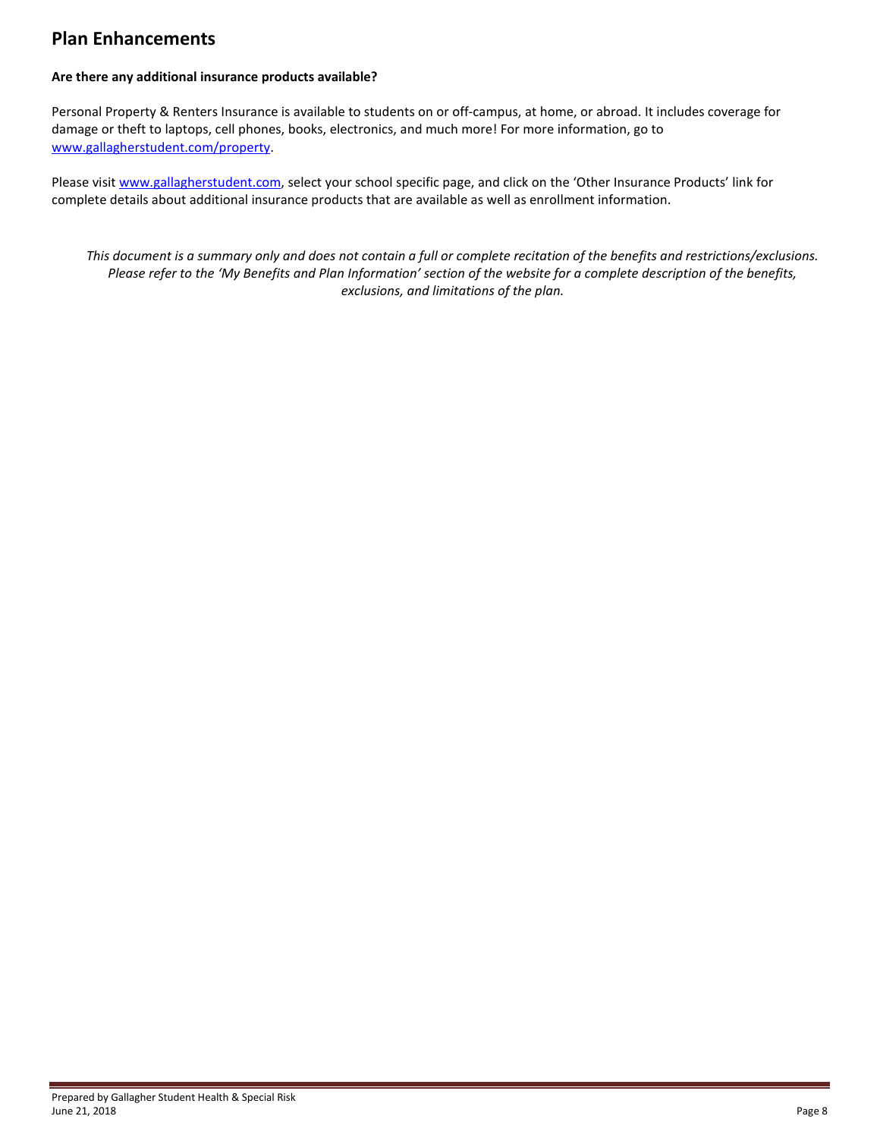### <span id="page-7-0"></span>**Plan Enhancements**

#### <span id="page-7-1"></span>**Are there any additional insurance products available?**

Personal Property & Renters Insurance is available to students on or off-campus, at home, or abroad. It includes coverage for damage or theft to laptops, cell phones, books, electronics, and much more! For more information, go to [www.gallagherstudent.com/property.](http://www.gallagherstudent.com/property)

Please visit [www.gallagherstudent.com,](http://www.gallagherstudent.com/) select your school specific page, and click on the 'Other Insurance Products' link for complete details about additional insurance products that are available as well as enrollment information.

*This document is a summary only and does not contain a full or complete recitation of the benefits and restrictions/exclusions. Please refer to the 'My Benefits and Plan Information' section of the website for a complete description of the benefits, exclusions, and limitations of the plan.*